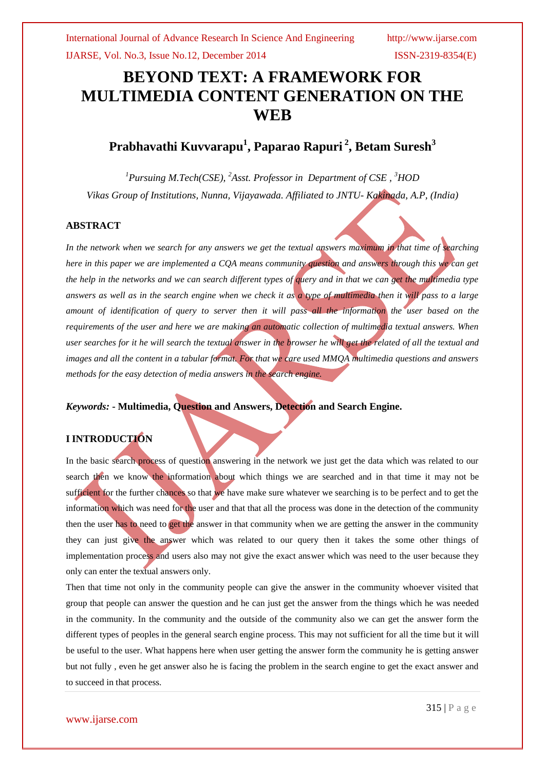# **BEYOND TEXT: A FRAMEWORK FOR MULTIMEDIA CONTENT GENERATION ON THE WEB**

# **Prabhavathi Kuvvarapu<sup>1</sup> , Paparao Rapuri <sup>2</sup> , Betam Suresh<sup>3</sup>**

*<sup>1</sup>Pursuing M.Tech(CSE), <sup>2</sup>Asst. Professor in Department of CSE , <sup>3</sup>HOD Vikas Group of Institutions, Nunna, Vijayawada. Affiliated to JNTU- Kakinada, A.P, (India)*

### **ABSTRACT**

*In the network when we search for any answers we get the textual answers maximum in that time of searching here in this paper we are implemented a CQA means community question and answers through this we can get the help in the networks and we can search different types of query and in that we can get the multimedia type answers as well as in the search engine when we check it as a type of multimedia then it will pass to a large*  amount of identification of query to server then it will pass all the information the user based on the *requirements of the user and here we are making an automatic collection of multimedia textual answers. When user searches for it he will search the textual answer in the browser he will get the related of all the textual and images and all the content in a tabular format. For that we care used MMQA multimedia questions and answers methods for the easy detection of media answers in the search engine.*

*Keywords:* **- Multimedia, Question and Answers, Detection and Search Engine.**

# **I INTRODUCTION**

In the basic search process of question answering in the network we just get the data which was related to our search then we know the information about which things we are searched and in that time it may not be sufficient for the further chances so that we have make sure whatever we searching is to be perfect and to get the information which was need for the user and that that all the process was done in the detection of the community then the user has to need to get the answer in that community when we are getting the answer in the community they can just give the answer which was related to our query then it takes the some other things of implementation process and users also may not give the exact answer which was need to the user because they only can enter the textual answers only.

Then that time not only in the community people can give the answer in the community whoever visited that group that people can answer the question and he can just get the answer from the things which he was needed in the community. In the community and the outside of the community also we can get the answer form the different types of peoples in the general search engine process. This may not sufficient for all the time but it will be useful to the user. What happens here when user getting the answer form the community he is getting answer but not fully , even he get answer also he is facing the problem in the search engine to get the exact answer and to succeed in that process.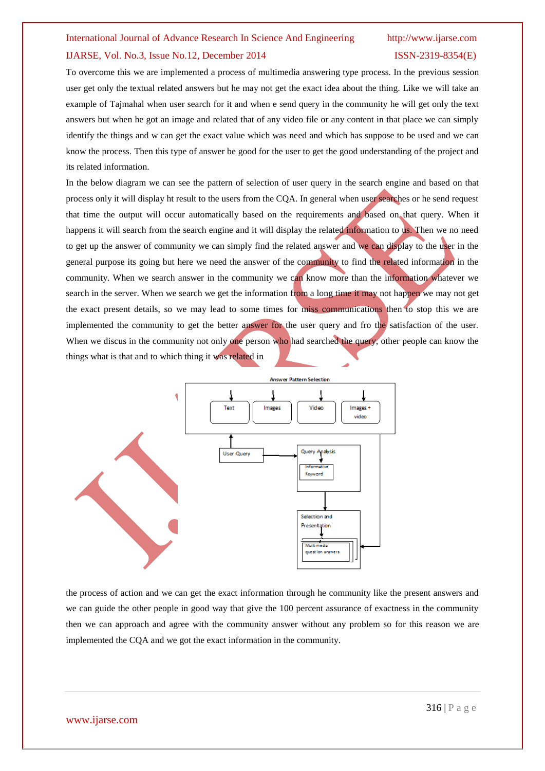# IJARSE, Vol. No.3, Issue No.12, December 2014 ISSN-2319-8354(E)

To overcome this we are implemented a process of multimedia answering type process. In the previous session user get only the textual related answers but he may not get the exact idea about the thing. Like we will take an example of Tajmahal when user search for it and when e send query in the community he will get only the text answers but when he got an image and related that of any video file or any content in that place we can simply identify the things and w can get the exact value which was need and which has suppose to be used and we can know the process. Then this type of answer be good for the user to get the good understanding of the project and its related information.

In the below diagram we can see the pattern of selection of user query in the search engine and based on that process only it will display ht result to the users from the CQA. In general when user searches or he send request that time the output will occur automatically based on the requirements and based on that query. When it happens it will search from the search engine and it will display the related information to us. Then we no need to get up the answer of community we can simply find the related answer and we can display to the user in the general purpose its going but here we need the answer of the community to find the related information in the community. When we search answer in the community we can know more than the information whatever we search in the server. When we search we get the information from a long time it may not happen we may not get the exact present details, so we may lead to some times for miss communications then to stop this we are implemented the community to get the better answer for the user query and fro the satisfaction of the user. When we discus in the community not only one person who had searched the query, other people can know the things what is that and to which thing it was related in



the process of action and we can get the exact information through he community like the present answers and we can guide the other people in good way that give the 100 percent assurance of exactness in the community then we can approach and agree with the community answer without any problem so for this reason we are implemented the CQA and we got the exact information in the community.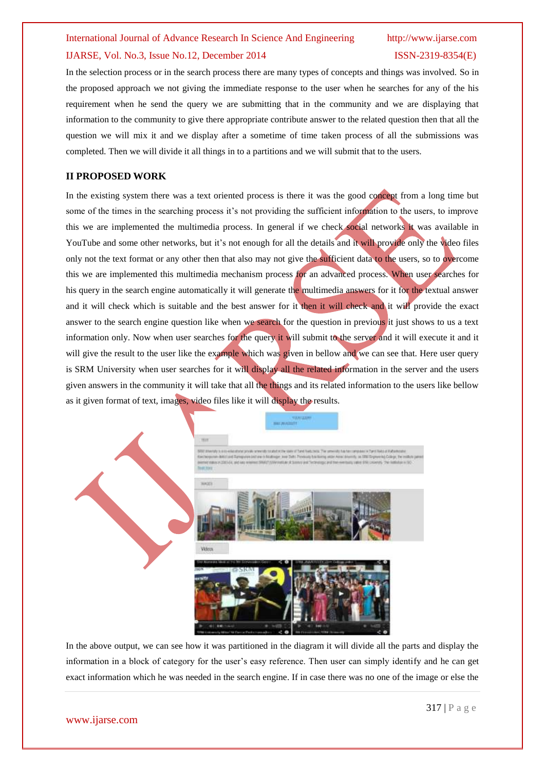### IJARSE, Vol. No.3, Issue No.12, December 2014 ISSN-2319-8354(E)

In the selection process or in the search process there are many types of concepts and things was involved. So in the proposed approach we not giving the immediate response to the user when he searches for any of the his requirement when he send the query we are submitting that in the community and we are displaying that information to the community to give there appropriate contribute answer to the related question then that all the question we will mix it and we display after a sometime of time taken process of all the submissions was completed. Then we will divide it all things in to a partitions and we will submit that to the users.

## **II PROPOSED WORK**

In the existing system there was a text oriented process is there it was the good concept from a long time but some of the times in the searching process it's not providing the sufficient information to the users, to improve this we are implemented the multimedia process. In general if we check social networks it was available in YouTube and some other networks, but it's not enough for all the details and it will provide only the video files only not the text format or any other then that also may not give the sufficient data to the users, so to overcome this we are implemented this multimedia mechanism process for an advanced process. When user searches for his query in the search engine automatically it will generate the multimedia answers for it for the textual answer and it will check which is suitable and the best answer for it then it will check and it will provide the exact answer to the search engine question like when we search for the question in previous it just shows to us a text information only. Now when user searches for the query it will submit to the server and it will execute it and it will give the result to the user like the example which was given in bellow and we can see that. Here user query is SRM University when user searches for it will display all the related information in the server and the users given answers in the community it will take that all the things and its related information to the users like bellow as it given format of text, images, video files like it will display the results.



In the above output, we can see how it was partitioned in the diagram it will divide all the parts and display the information in a block of category for the user's easy reference. Then user can simply identify and he can get exact information which he was needed in the search engine. If in case there was no one of the image or else the

### www.ijarse.com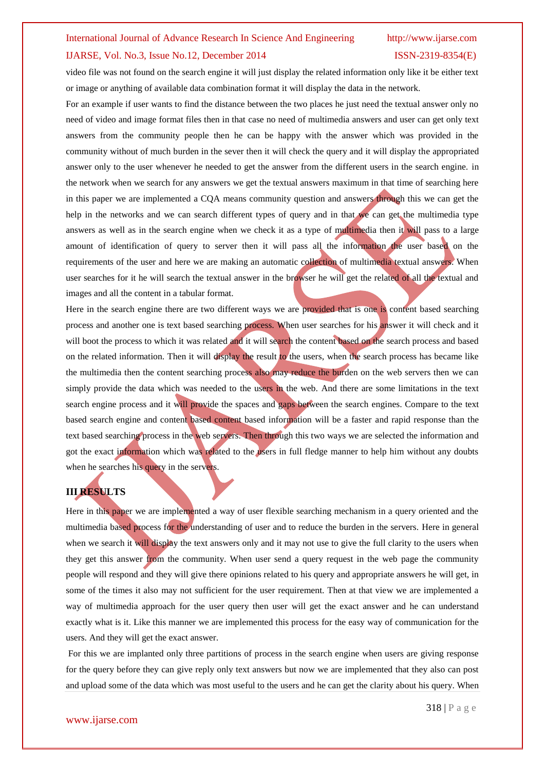## IJARSE, Vol. No.3, Issue No.12, December 2014 ISSN-2319-8354(E)

video file was not found on the search engine it will just display the related information only like it be either text or image or anything of available data combination format it will display the data in the network.

For an example if user wants to find the distance between the two places he just need the textual answer only no need of video and image format files then in that case no need of multimedia answers and user can get only text answers from the community people then he can be happy with the answer which was provided in the community without of much burden in the sever then it will check the query and it will display the appropriated answer only to the user whenever he needed to get the answer from the different users in the search engine. in the network when we search for any answers we get the textual answers maximum in that time of searching here in this paper we are implemented a CQA means community question and answers through this we can get the help in the networks and we can search different types of query and in that we can get the multimedia type answers as well as in the search engine when we check it as a type of multimedia then it will pass to a large amount of identification of query to server then it will pass all the information the user based on the requirements of the user and here we are making an automatic collection of multimedia textual answers. When user searches for it he will search the textual answer in the browser he will get the related of all the textual and images and all the content in a tabular format.

Here in the search engine there are two different ways we are provided that is one is content based searching process and another one is text based searching process. When user searches for his answer it will check and it will boot the process to which it was related and it will search the content based on the search process and based on the related information. Then it will display the result to the users, when the search process has became like the multimedia then the content searching process also may reduce the burden on the web servers then we can simply provide the data which was needed to the users in the web. And there are some limitations in the text search engine process and it will provide the spaces and gaps between the search engines. Compare to the text based search engine and content based content based information will be a faster and rapid response than the text based searching process in the web servers. Then through this two ways we are selected the information and got the exact information which was related to the users in full fledge manner to help him without any doubts when he searches his query in the servers.

# **III RESULTS**

Here in this paper we are implemented a way of user flexible searching mechanism in a query oriented and the multimedia based process for the understanding of user and to reduce the burden in the servers. Here in general when we search it will display the text answers only and it may not use to give the full clarity to the users when they get this answer from the community. When user send a query request in the web page the community people will respond and they will give there opinions related to his query and appropriate answers he will get, in some of the times it also may not sufficient for the user requirement. Then at that view we are implemented a way of multimedia approach for the user query then user will get the exact answer and he can understand exactly what is it. Like this manner we are implemented this process for the easy way of communication for the users. And they will get the exact answer.

For this we are implanted only three partitions of process in the search engine when users are giving response for the query before they can give reply only text answers but now we are implemented that they also can post and upload some of the data which was most useful to the users and he can get the clarity about his query. When

#### www.ijarse.com

318 | P a g e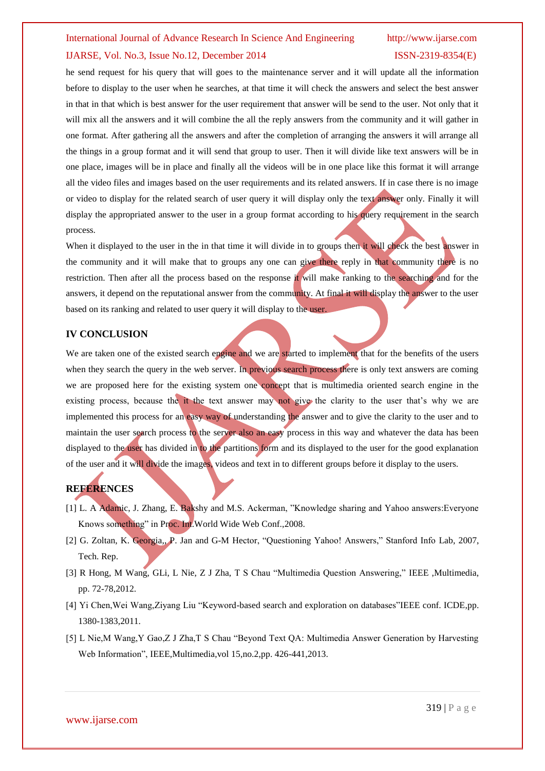# IJARSE, Vol. No.3, Issue No.12, December 2014 ISSN-2319-8354(E)

he send request for his query that will goes to the maintenance server and it will update all the information before to display to the user when he searches, at that time it will check the answers and select the best answer in that in that which is best answer for the user requirement that answer will be send to the user. Not only that it will mix all the answers and it will combine the all the reply answers from the community and it will gather in one format. After gathering all the answers and after the completion of arranging the answers it will arrange all the things in a group format and it will send that group to user. Then it will divide like text answers will be in one place, images will be in place and finally all the videos will be in one place like this format it will arrange all the video files and images based on the user requirements and its related answers. If in case there is no image or video to display for the related search of user query it will display only the text answer only. Finally it will display the appropriated answer to the user in a group format according to his query requirement in the search process.

When it displayed to the user in the in that time it will divide in to groups then it will check the best answer in the community and it will make that to groups any one can give there reply in that community there is no restriction. Then after all the process based on the response it will make ranking to the searching and for the answers, it depend on the reputational answer from the community. At final it will display the answer to the user based on its ranking and related to user query it will display to the user.

#### **IV CONCLUSION**

We are taken one of the existed search engine and we are started to implement that for the benefits of the users when they search the query in the web server. In previous search process there is only text answers are coming we are proposed here for the existing system one concept that is multimedia oriented search engine in the existing process, because the it the text answer may not give the clarity to the user that's why we are implemented this process for an easy way of understanding the answer and to give the clarity to the user and to maintain the user search process to the server also an easy process in this way and whatever the data has been displayed to the user has divided in to the partitions form and its displayed to the user for the good explanation of the user and it will divide the images, videos and text in to different groups before it display to the users.

# **REFERENCES**

- [1] L. A Adamic, J. Zhang, E. Bakshy and M.S. Ackerman, "Knowledge sharing and Yahoo answers: Everyone Knows something" in Proc. Int.World Wide Web Conf.,2008.
- [2] G. Zoltan, K. Georgia,, P. Jan and G-M Hector, "Questioning Yahoo! Answers," Stanford Info Lab, 2007, Tech. Rep.
- [3] R Hong, M Wang, GLi, L Nie, Z J Zha, T S Chau "Multimedia Question Answering," IEEE ,Multimedia, pp. 72-78,2012.
- [4] Yi Chen,Wei Wang,Ziyang Liu "Keyword-based search and exploration on databases"IEEE conf. ICDE,pp. 1380-1383,2011.
- [5] L Nie,M Wang,Y Gao,Z J Zha,T S Chau "Beyond Text QA: Multimedia Answer Generation by Harvesting Web Information", IEEE,Multimedia,vol 15,no.2,pp. 426-441,2013.